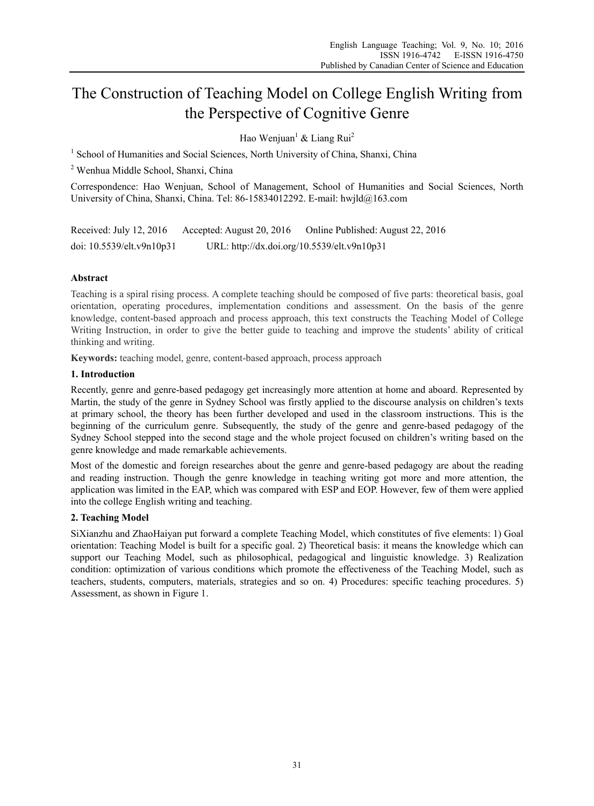# The Construction of Teaching Model on College English Writing from the Perspective of Cognitive Genre

Hao Wenjuan<sup>1</sup> & Liang Rui<sup>2</sup>

<sup>1</sup> School of Humanities and Social Sciences, North University of China, Shanxi, China

<sup>2</sup> Wenhua Middle School, Shanxi, China

Correspondence: Hao Wenjuan, School of Management, School of Humanities and Social Sciences, North University of China, Shanxi, China. Tel: 86-15834012292. E-mail: hwjld@163.com

Received: July 12, 2016 Accepted: August 20, 2016 Online Published: August 22, 2016 doi: 10.5539/elt.v9n10p31 URL: http://dx.doi.org/10.5539/elt.v9n10p31

# **Abstract**

Teaching is a spiral rising process. A complete teaching should be composed of five parts: theoretical basis, goal orientation, operating procedures, implementation conditions and assessment. On the basis of the genre knowledge, content-based approach and process approach, this text constructs the Teaching Model of College Writing Instruction, in order to give the better guide to teaching and improve the students' ability of critical thinking and writing.

**Keywords:** teaching model, genre, content-based approach, process approach

## **1. Introduction**

Recently, genre and genre-based pedagogy get increasingly more attention at home and aboard. Represented by Martin, the study of the genre in Sydney School was firstly applied to the discourse analysis on children's texts at primary school, the theory has been further developed and used in the classroom instructions. This is the beginning of the curriculum genre. Subsequently, the study of the genre and genre-based pedagogy of the Sydney School stepped into the second stage and the whole project focused on children's writing based on the genre knowledge and made remarkable achievements.

Most of the domestic and foreign researches about the genre and genre-based pedagogy are about the reading and reading instruction. Though the genre knowledge in teaching writing got more and more attention, the application was limited in the EAP, which was compared with ESP and EOP. However, few of them were applied into the college English writing and teaching.

## **2. Teaching Model**

SiXianzhu and ZhaoHaiyan put forward a complete Teaching Model, which constitutes of five elements: 1) Goal orientation: Teaching Model is built for a specific goal. 2) Theoretical basis: it means the knowledge which can support our Teaching Model, such as philosophical, pedagogical and linguistic knowledge. 3) Realization condition: optimization of various conditions which promote the effectiveness of the Teaching Model, such as teachers, students, computers, materials, strategies and so on. 4) Procedures: specific teaching procedures. 5) Assessment, as shown in Figure 1.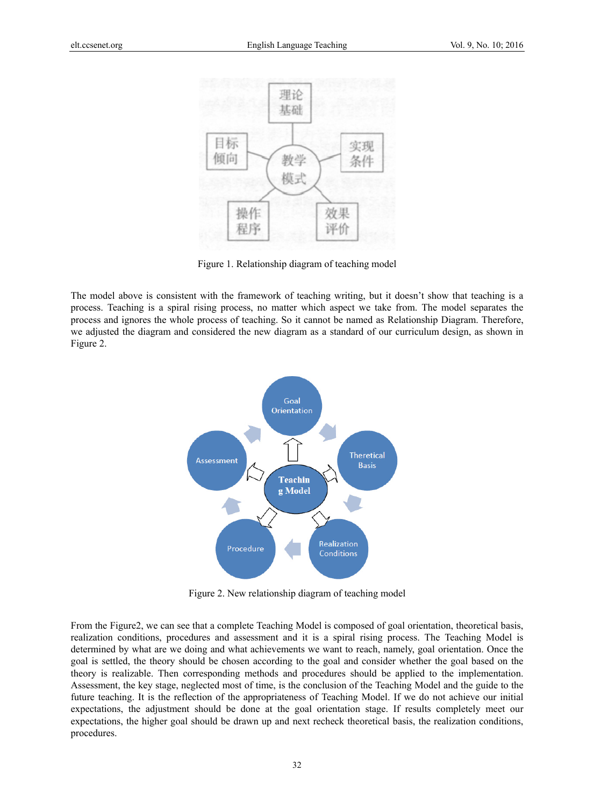

Figure 1. Relationship diagram of teaching model

The model above is consistent with the framework of teaching writing, but it doesn't show that teaching is a process. Teaching is a spiral rising process, no matter which aspect we take from. The model separates the process and ignores the whole process of teaching. So it cannot be named as Relationship Diagram. Therefore, we adjusted the diagram and considered the new diagram as a standard of our curriculum design, as shown in Figure 2.



Figure 2. New relationship diagram of teaching model

From the Figure2, we can see that a complete Teaching Model is composed of goal orientation, theoretical basis, realization conditions, procedures and assessment and it is a spiral rising process. The Teaching Model is determined by what are we doing and what achievements we want to reach, namely, goal orientation. Once the goal is settled, the theory should be chosen according to the goal and consider whether the goal based on the theory is realizable. Then corresponding methods and procedures should be applied to the implementation. Assessment, the key stage, neglected most of time, is the conclusion of the Teaching Model and the guide to the future teaching. It is the reflection of the appropriateness of Teaching Model. If we do not achieve our initial expectations, the adjustment should be done at the goal orientation stage. If results completely meet our expectations, the higher goal should be drawn up and next recheck theoretical basis, the realization conditions, procedures.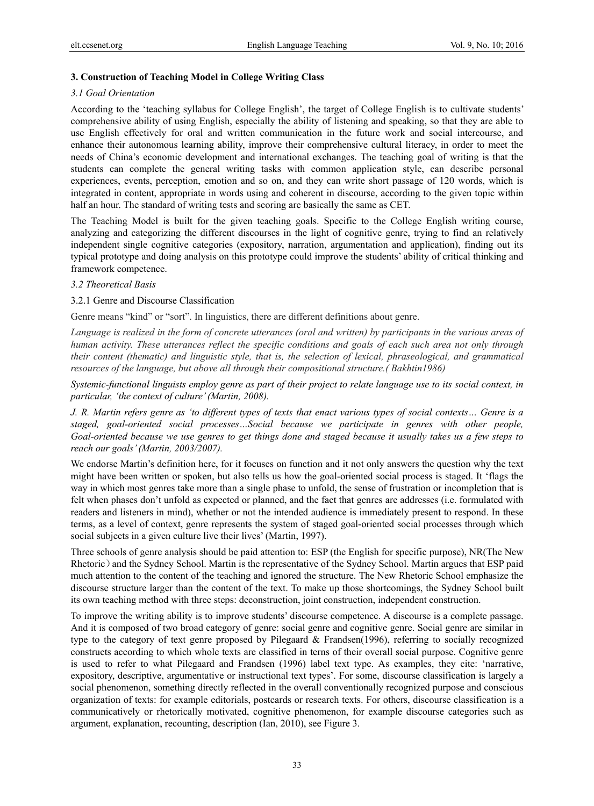# **3. Construction of Teaching Model in College Writing Class**

## *3.1 Goal Orientation*

According to the 'teaching syllabus for College English', the target of College English is to cultivate students' comprehensive ability of using English, especially the ability of listening and speaking, so that they are able to use English effectively for oral and written communication in the future work and social intercourse, and enhance their autonomous learning ability, improve their comprehensive cultural literacy, in order to meet the needs of China's economic development and international exchanges. The teaching goal of writing is that the students can complete the general writing tasks with common application style, can describe personal experiences, events, perception, emotion and so on, and they can write short passage of 120 words, which is integrated in content, appropriate in words using and coherent in discourse, according to the given topic within half an hour. The standard of writing tests and scoring are basically the same as CET.

The Teaching Model is built for the given teaching goals. Specific to the College English writing course, analyzing and categorizing the different discourses in the light of cognitive genre, trying to find an relatively independent single cognitive categories (expository, narration, argumentation and application), finding out its typical prototype and doing analysis on this prototype could improve the students' ability of critical thinking and framework competence.

## *3.2 Theoretical Basis*

## 3.2.1 Genre and Discourse Classification

Genre means "kind" or "sort". In linguistics, there are different definitions about genre.

*Language is realized in the form of concrete utterances (oral and written) by participants in the various areas of human activity. These utterances reflect the specific conditions and goals of each such area not only through their content (thematic) and linguistic style, that is, the selection of lexical, phraseological, and grammatical resources of the language, but above all through their compositional structure.( Bakhtin1986)* 

*Systemic-functional linguists employ genre as part of their project to relate language use to its social context, in particular, 'the context of culture' (Martin, 2008).* 

*J. R. Martin refers genre as 'to different types of texts that enact various types of social contexts… Genre is a staged, goal-oriented social processes…Social because we participate in genres with other people, Goal-oriented because we use genres to get things done and staged because it usually takes us a few steps to reach our goals' (Martin, 2003/2007).* 

We endorse Martin's definition here, for it focuses on function and it not only answers the question why the text might have been written or spoken, but also tells us how the goal-oriented social process is staged. It 'flags the way in which most genres take more than a single phase to unfold, the sense of frustration or incompletion that is felt when phases don't unfold as expected or planned, and the fact that genres are addresses (i.e. formulated with readers and listeners in mind), whether or not the intended audience is immediately present to respond. In these terms, as a level of context, genre represents the system of staged goal-oriented social processes through which social subjects in a given culture live their lives' (Martin, 1997).

Three schools of genre analysis should be paid attention to: ESP (the English for specific purpose), NR(The New Rhetoric) and the Sydney School. Martin is the representative of the Sydney School. Martin argues that ESP paid much attention to the content of the teaching and ignored the structure. The New Rhetoric School emphasize the discourse structure larger than the content of the text. To make up those shortcomings, the Sydney School built its own teaching method with three steps: deconstruction, joint construction, independent construction.

To improve the writing ability is to improve students' discourse competence. A discourse is a complete passage. And it is composed of two broad category of genre: social genre and cognitive genre. Social genre are similar in type to the category of text genre proposed by Pilegaard & Frandsen(1996), referring to socially recognized constructs according to which whole texts are classified in terns of their overall social purpose. Cognitive genre is used to refer to what Pilegaard and Frandsen (1996) label text type. As examples, they cite: 'narrative, expository, descriptive, argumentative or instructional text types'. For some, discourse classification is largely a social phenomenon, something directly reflected in the overall conventionally recognized purpose and conscious organization of texts: for example editorials, postcards or research texts. For others, discourse classification is a communicatively or rhetorically motivated, cognitive phenomenon, for example discourse categories such as argument, explanation, recounting, description (Ian, 2010), see Figure 3.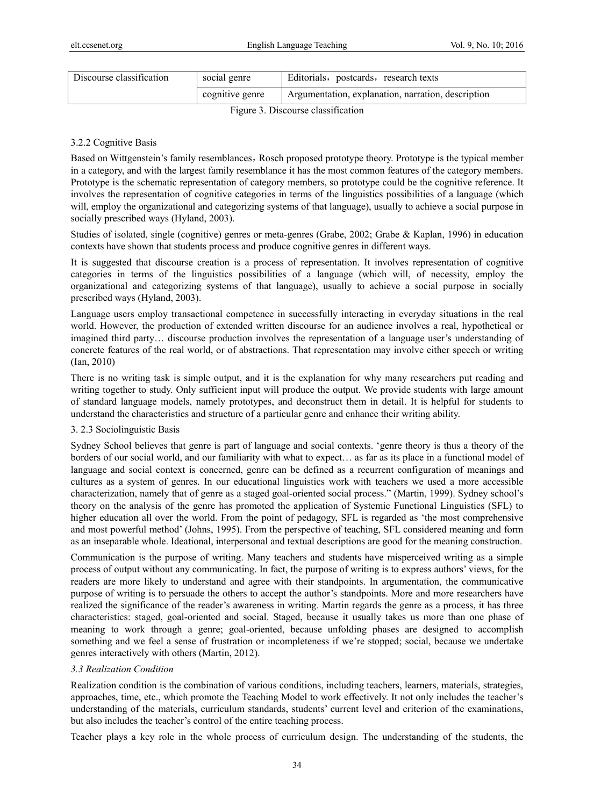| Discourse classification | social genre    | Editorials, postcards, research texts              |
|--------------------------|-----------------|----------------------------------------------------|
|                          | cognitive genre | Argumentation, explanation, narration, description |

Figure 3. Discourse classification

# 3.2.2 Cognitive Basis

Based on Wittgenstein's family resemblances, Rosch proposed prototype theory. Prototype is the typical member in a category, and with the largest family resemblance it has the most common features of the category members. Prototype is the schematic representation of category members, so prototype could be the cognitive reference. It involves the representation of cognitive categories in terms of the linguistics possibilities of a language (which will, employ the organizational and categorizing systems of that language), usually to achieve a social purpose in socially prescribed ways (Hyland, 2003).

Studies of isolated, single (cognitive) genres or meta-genres (Grabe, 2002; Grabe & Kaplan, 1996) in education contexts have shown that students process and produce cognitive genres in different ways.

It is suggested that discourse creation is a process of representation. It involves representation of cognitive categories in terms of the linguistics possibilities of a language (which will, of necessity, employ the organizational and categorizing systems of that language), usually to achieve a social purpose in socially prescribed ways (Hyland, 2003).

Language users employ transactional competence in successfully interacting in everyday situations in the real world. However, the production of extended written discourse for an audience involves a real, hypothetical or imagined third party… discourse production involves the representation of a language user's understanding of concrete features of the real world, or of abstractions. That representation may involve either speech or writing (Ian, 2010)

There is no writing task is simple output, and it is the explanation for why many researchers put reading and writing together to study. Only sufficient input will produce the output. We provide students with large amount of standard language models, namely prototypes, and deconstruct them in detail. It is helpful for students to understand the characteristics and structure of a particular genre and enhance their writing ability.

# 3. 2.3 Sociolinguistic Basis

Sydney School believes that genre is part of language and social contexts. 'genre theory is thus a theory of the borders of our social world, and our familiarity with what to expect… as far as its place in a functional model of language and social context is concerned, genre can be defined as a recurrent configuration of meanings and cultures as a system of genres. In our educational linguistics work with teachers we used a more accessible characterization, namely that of genre as a staged goal-oriented social process." (Martin, 1999). Sydney school's theory on the analysis of the genre has promoted the application of Systemic Functional Linguistics (SFL) to higher education all over the world. From the point of pedagogy, SFL is regarded as 'the most comprehensive and most powerful method' (Johns, 1995). From the perspective of teaching, SFL considered meaning and form as an inseparable whole. Ideational, interpersonal and textual descriptions are good for the meaning construction.

Communication is the purpose of writing. Many teachers and students have misperceived writing as a simple process of output without any communicating. In fact, the purpose of writing is to express authors' views, for the readers are more likely to understand and agree with their standpoints. In argumentation, the communicative purpose of writing is to persuade the others to accept the author's standpoints. More and more researchers have realized the significance of the reader's awareness in writing. Martin regards the genre as a process, it has three characteristics: staged, goal-oriented and social. Staged, because it usually takes us more than one phase of meaning to work through a genre; goal-oriented, because unfolding phases are designed to accomplish something and we feel a sense of frustration or incompleteness if we're stopped; social, because we undertake genres interactively with others (Martin, 2012).

## *3.3 Realization Condition*

Realization condition is the combination of various conditions, including teachers, learners, materials, strategies, approaches, time, etc., which promote the Teaching Model to work effectively. It not only includes the teacher's understanding of the materials, curriculum standards, students' current level and criterion of the examinations, but also includes the teacher's control of the entire teaching process.

Teacher plays a key role in the whole process of curriculum design. The understanding of the students, the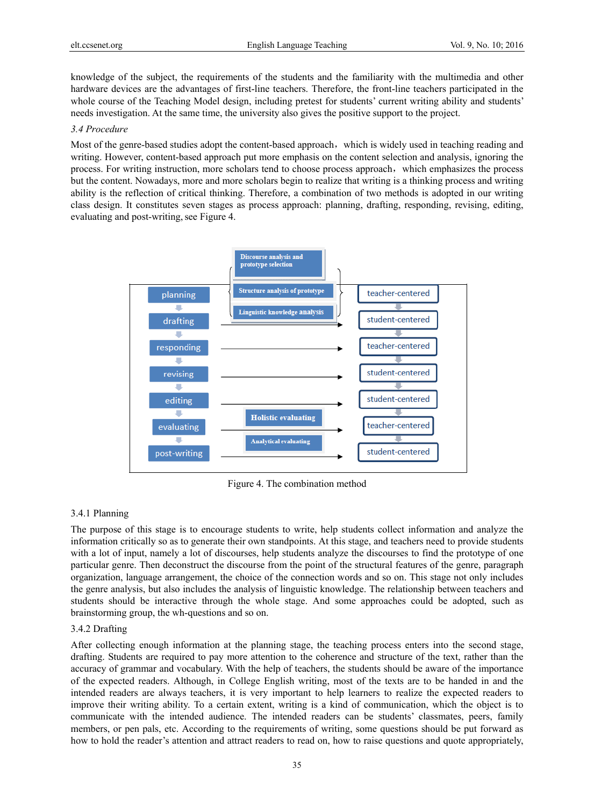knowledge of the subject, the requirements of the students and the familiarity with the multimedia and other hardware devices are the advantages of first-line teachers. Therefore, the front-line teachers participated in the whole course of the Teaching Model design, including pretest for students' current writing ability and students' needs investigation. At the same time, the university also gives the positive support to the project.

#### *3.4 Procedure*

Most of the genre-based studies adopt the content-based approach, which is widely used in teaching reading and writing. However, content-based approach put more emphasis on the content selection and analysis, ignoring the process. For writing instruction, more scholars tend to choose process approach,which emphasizes the process but the content. Nowadays, more and more scholars begin to realize that writing is a thinking process and writing ability is the reflection of critical thinking. Therefore, a combination of two methods is adopted in our writing class design. It constitutes seven stages as process approach: planning, drafting, responding, revising, editing, evaluating and post-writing, see Figure 4.



Figure 4. The combination method

# 3.4.1 Planning

The purpose of this stage is to encourage students to write, help students collect information and analyze the information critically so as to generate their own standpoints. At this stage, and teachers need to provide students with a lot of input, namely a lot of discourses, help students analyze the discourses to find the prototype of one particular genre. Then deconstruct the discourse from the point of the structural features of the genre, paragraph organization, language arrangement, the choice of the connection words and so on. This stage not only includes the genre analysis, but also includes the analysis of linguistic knowledge. The relationship between teachers and students should be interactive through the whole stage. And some approaches could be adopted, such as brainstorming group, the wh-questions and so on.

## 3.4.2 Drafting

After collecting enough information at the planning stage, the teaching process enters into the second stage, drafting. Students are required to pay more attention to the coherence and structure of the text, rather than the accuracy of grammar and vocabulary. With the help of teachers, the students should be aware of the importance of the expected readers. Although, in College English writing, most of the texts are to be handed in and the intended readers are always teachers, it is very important to help learners to realize the expected readers to improve their writing ability. To a certain extent, writing is a kind of communication, which the object is to communicate with the intended audience. The intended readers can be students' classmates, peers, family members, or pen pals, etc. According to the requirements of writing, some questions should be put forward as how to hold the reader's attention and attract readers to read on, how to raise questions and quote appropriately,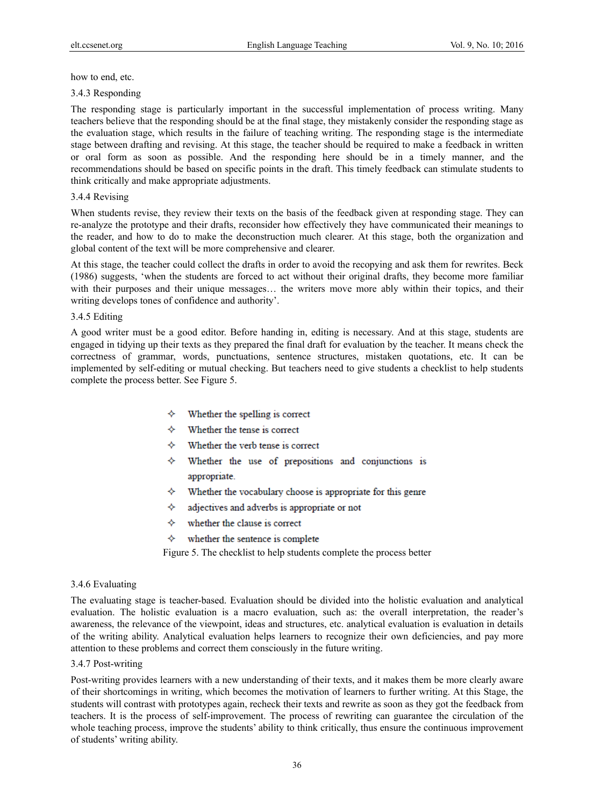how to end, etc.

3.4.3 Responding

The responding stage is particularly important in the successful implementation of process writing. Many teachers believe that the responding should be at the final stage, they mistakenly consider the responding stage as the evaluation stage, which results in the failure of teaching writing. The responding stage is the intermediate stage between drafting and revising. At this stage, the teacher should be required to make a feedback in written or oral form as soon as possible. And the responding here should be in a timely manner, and the recommendations should be based on specific points in the draft. This timely feedback can stimulate students to think critically and make appropriate adjustments.

## 3.4.4 Revising

When students revise, they review their texts on the basis of the feedback given at responding stage. They can re-analyze the prototype and their drafts, reconsider how effectively they have communicated their meanings to the reader, and how to do to make the deconstruction much clearer. At this stage, both the organization and global content of the text will be more comprehensive and clearer.

At this stage, the teacher could collect the drafts in order to avoid the recopying and ask them for rewrites. Beck (1986) suggests, 'when the students are forced to act without their original drafts, they become more familiar with their purposes and their unique messages… the writers move more ably within their topics, and their writing develops tones of confidence and authority'.

## 3.4.5 Editing

A good writer must be a good editor. Before handing in, editing is necessary. And at this stage, students are engaged in tidying up their texts as they prepared the final draft for evaluation by the teacher. It means check the correctness of grammar, words, punctuations, sentence structures, mistaken quotations, etc. It can be implemented by self-editing or mutual checking. But teachers need to give students a checklist to help students complete the process better. See Figure 5.

- ♦ Whether the spelling is correct
- ♦ Whether the tense is correct
- ♦ Whether the verb tense is correct
- ♦ Whether the use of prepositions and conjunctions is appropriate.
- ❖ Whether the vocabulary choose is appropriate for this genre
- ❖ adjectives and adverbs is appropriate or not
- ❖ whether the clause is correct
- ❖ whether the sentence is complete

Figure 5. The checklist to help students complete the process better

## 3.4.6 Evaluating

The evaluating stage is teacher-based. Evaluation should be divided into the holistic evaluation and analytical evaluation. The holistic evaluation is a macro evaluation, such as: the overall interpretation, the reader's awareness, the relevance of the viewpoint, ideas and structures, etc. analytical evaluation is evaluation in details of the writing ability. Analytical evaluation helps learners to recognize their own deficiencies, and pay more attention to these problems and correct them consciously in the future writing.

## 3.4.7 Post-writing

Post-writing provides learners with a new understanding of their texts, and it makes them be more clearly aware of their shortcomings in writing, which becomes the motivation of learners to further writing. At this Stage, the students will contrast with prototypes again, recheck their texts and rewrite as soon as they got the feedback from teachers. It is the process of self-improvement. The process of rewriting can guarantee the circulation of the whole teaching process, improve the students' ability to think critically, thus ensure the continuous improvement of students' writing ability.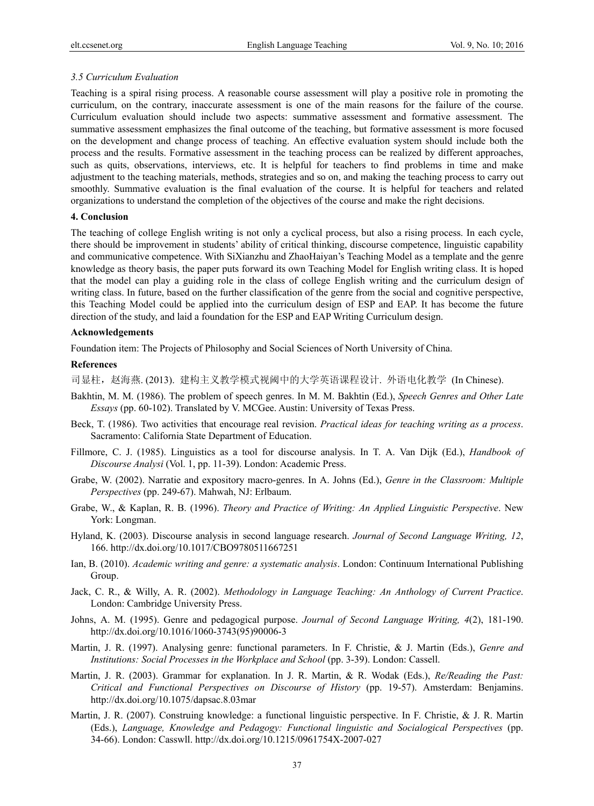#### *3.5 Curriculum Evaluation*

Teaching is a spiral rising process. A reasonable course assessment will play a positive role in promoting the curriculum, on the contrary, inaccurate assessment is one of the main reasons for the failure of the course. Curriculum evaluation should include two aspects: summative assessment and formative assessment. The summative assessment emphasizes the final outcome of the teaching, but formative assessment is more focused on the development and change process of teaching. An effective evaluation system should include both the process and the results. Formative assessment in the teaching process can be realized by different approaches, such as quits, observations, interviews, etc. It is helpful for teachers to find problems in time and make adjustment to the teaching materials, methods, strategies and so on, and making the teaching process to carry out smoothly. Summative evaluation is the final evaluation of the course. It is helpful for teachers and related organizations to understand the completion of the objectives of the course and make the right decisions.

## **4. Conclusion**

The teaching of college English writing is not only a cyclical process, but also a rising process. In each cycle, there should be improvement in students' ability of critical thinking, discourse competence, linguistic capability and communicative competence. With SiXianzhu and ZhaoHaiyan's Teaching Model as a template and the genre knowledge as theory basis, the paper puts forward its own Teaching Model for English writing class. It is hoped that the model can play a guiding role in the class of college English writing and the curriculum design of writing class. In future, based on the further classification of the genre from the social and cognitive perspective, this Teaching Model could be applied into the curriculum design of ESP and EAP. It has become the future direction of the study, and laid a foundation for the ESP and EAP Writing Curriculum design.

#### **Acknowledgements**

Foundation item: The Projects of Philosophy and Social Sciences of North University of China.

#### **References**

- 司显柱,赵海燕. (2013). 建构主义教学模式视阈中的大学英语课程设计. 外语电化教学 (In Chinese).
- Bakhtin, M. M. (1986). The problem of speech genres. In M. M. Bakhtin (Ed.), *Speech Genres and Other Late Essays* (pp. 60-102). Translated by V. MCGee. Austin: University of Texas Press.
- Beck, T. (1986). Two activities that encourage real revision. *Practical ideas for teaching writing as a process*. Sacramento: California State Department of Education.
- Fillmore, C. J. (1985). Linguistics as a tool for discourse analysis. In T. A. Van Dijk (Ed.), *Handbook of Discourse Analysi* (Vol. 1, pp. 11-39). London: Academic Press.
- Grabe, W. (2002). Narratie and expository macro-genres. In A. Johns (Ed.), *Genre in the Classroom: Multiple Perspectives* (pp. 249-67). Mahwah, NJ: Erlbaum.
- Grabe, W., & Kaplan, R. B. (1996). *Theory and Practice of Writing: An Applied Linguistic Perspective*. New York: Longman.
- Hyland, K. (2003). Discourse analysis in second language research. *Journal of Second Language Writing, 12*, 166. http://dx.doi.org/10.1017/CBO9780511667251
- Ian, B. (2010). *Academic writing and genre: a systematic analysis*. London: Continuum International Publishing Group.
- Jack, C. R., & Willy, A. R. (2002). *Methodology in Language Teaching: An Anthology of Current Practice*. London: Cambridge University Press.
- Johns, A. M. (1995). Genre and pedagogical purpose. *Journal of Second Language Writing, 4*(2), 181-190. http://dx.doi.org/10.1016/1060-3743(95)90006-3
- Martin, J. R. (1997). Analysing genre: functional parameters. In F. Christie, & J. Martin (Eds.), *Genre and Institutions: Social Processes in the Workplace and School* (pp. 3-39). London: Cassell.
- Martin, J. R. (2003). Grammar for explanation. In J. R. Martin, & R. Wodak (Eds.), *Re/Reading the Past: Critical and Functional Perspectives on Discourse of History* (pp. 19-57). Amsterdam: Benjamins. http://dx.doi.org/10.1075/dapsac.8.03mar
- Martin, J. R. (2007). Construing knowledge: a functional linguistic perspective. In F. Christie, & J. R. Martin (Eds.), *Language, Knowledge and Pedagogy: Functional linguistic and Socialogical Perspectives* (pp. 34-66). London: Casswll. http://dx.doi.org/10.1215/0961754X-2007-027